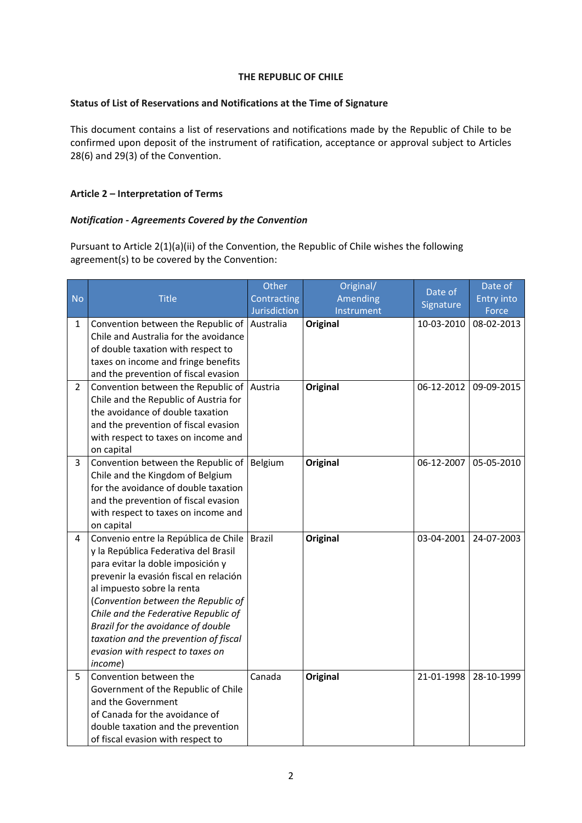## **THE REPUBLIC OF CHILE**

## **Status of List of Reservations and Notifications at the Time of Signature**

This document contains a list of reservations and notifications made by the Republic of Chile to be confirmed upon deposit of the instrument of ratification, acceptance or approval subject to Articles 28(6) and 29(3) of the Convention.

# **Article 2 – Interpretation of Terms**

# *Notification - Agreements Covered by the Convention*

Pursuant to Article 2(1)(a)(ii) of the Convention, the Republic of Chile wishes the following agreement(s) to be covered by the Convention:

|                |                                                                                                                                                                                                                                                                                                                                                                                                                                                                                                                                                                                                                                                                                                                                                 | Other               | Original/                   | Date of                  | Date of                  |
|----------------|-------------------------------------------------------------------------------------------------------------------------------------------------------------------------------------------------------------------------------------------------------------------------------------------------------------------------------------------------------------------------------------------------------------------------------------------------------------------------------------------------------------------------------------------------------------------------------------------------------------------------------------------------------------------------------------------------------------------------------------------------|---------------------|-----------------------------|--------------------------|--------------------------|
| <b>No</b>      | <b>Title</b>                                                                                                                                                                                                                                                                                                                                                                                                                                                                                                                                                                                                                                                                                                                                    | Contracting         | Amending                    |                          | <b>Entry into</b>        |
|                |                                                                                                                                                                                                                                                                                                                                                                                                                                                                                                                                                                                                                                                                                                                                                 | <b>Jurisdiction</b> | Instrument                  | Signature                | Force                    |
| 1              | Convention between the Republic of                                                                                                                                                                                                                                                                                                                                                                                                                                                                                                                                                                                                                                                                                                              | Australia           | <b>Original</b>             | 10-03-2010               | 08-02-2013               |
|                | Chile and Australia for the avoidance                                                                                                                                                                                                                                                                                                                                                                                                                                                                                                                                                                                                                                                                                                           |                     |                             |                          |                          |
|                | of double taxation with respect to                                                                                                                                                                                                                                                                                                                                                                                                                                                                                                                                                                                                                                                                                                              |                     |                             |                          |                          |
|                | taxes on income and fringe benefits                                                                                                                                                                                                                                                                                                                                                                                                                                                                                                                                                                                                                                                                                                             |                     |                             |                          |                          |
|                | and the prevention of fiscal evasion                                                                                                                                                                                                                                                                                                                                                                                                                                                                                                                                                                                                                                                                                                            |                     |                             |                          |                          |
| $\overline{2}$ | Convention between the Republic of                                                                                                                                                                                                                                                                                                                                                                                                                                                                                                                                                                                                                                                                                                              | Austria             | <b>Original</b>             | 06-12-2012               | 09-09-2015               |
|                | Chile and the Republic of Austria for                                                                                                                                                                                                                                                                                                                                                                                                                                                                                                                                                                                                                                                                                                           |                     |                             |                          |                          |
|                | the avoidance of double taxation                                                                                                                                                                                                                                                                                                                                                                                                                                                                                                                                                                                                                                                                                                                |                     |                             |                          |                          |
|                | and the prevention of fiscal evasion                                                                                                                                                                                                                                                                                                                                                                                                                                                                                                                                                                                                                                                                                                            |                     |                             |                          |                          |
|                | with respect to taxes on income and                                                                                                                                                                                                                                                                                                                                                                                                                                                                                                                                                                                                                                                                                                             |                     |                             |                          |                          |
|                | on capital                                                                                                                                                                                                                                                                                                                                                                                                                                                                                                                                                                                                                                                                                                                                      |                     |                             |                          |                          |
| 3              | Convention between the Republic of                                                                                                                                                                                                                                                                                                                                                                                                                                                                                                                                                                                                                                                                                                              | Belgium             | <b>Original</b>             | 06-12-2007               | 05-05-2010               |
|                | Chile and the Kingdom of Belgium                                                                                                                                                                                                                                                                                                                                                                                                                                                                                                                                                                                                                                                                                                                |                     |                             |                          |                          |
|                |                                                                                                                                                                                                                                                                                                                                                                                                                                                                                                                                                                                                                                                                                                                                                 |                     |                             |                          |                          |
|                |                                                                                                                                                                                                                                                                                                                                                                                                                                                                                                                                                                                                                                                                                                                                                 |                     |                             |                          |                          |
|                |                                                                                                                                                                                                                                                                                                                                                                                                                                                                                                                                                                                                                                                                                                                                                 |                     |                             |                          |                          |
|                |                                                                                                                                                                                                                                                                                                                                                                                                                                                                                                                                                                                                                                                                                                                                                 |                     |                             |                          |                          |
|                |                                                                                                                                                                                                                                                                                                                                                                                                                                                                                                                                                                                                                                                                                                                                                 |                     |                             |                          |                          |
|                |                                                                                                                                                                                                                                                                                                                                                                                                                                                                                                                                                                                                                                                                                                                                                 |                     |                             |                          |                          |
|                |                                                                                                                                                                                                                                                                                                                                                                                                                                                                                                                                                                                                                                                                                                                                                 |                     |                             |                          |                          |
|                |                                                                                                                                                                                                                                                                                                                                                                                                                                                                                                                                                                                                                                                                                                                                                 |                     |                             |                          |                          |
|                |                                                                                                                                                                                                                                                                                                                                                                                                                                                                                                                                                                                                                                                                                                                                                 |                     |                             |                          |                          |
|                |                                                                                                                                                                                                                                                                                                                                                                                                                                                                                                                                                                                                                                                                                                                                                 |                     |                             |                          |                          |
|                |                                                                                                                                                                                                                                                                                                                                                                                                                                                                                                                                                                                                                                                                                                                                                 |                     |                             |                          |                          |
|                |                                                                                                                                                                                                                                                                                                                                                                                                                                                                                                                                                                                                                                                                                                                                                 |                     |                             |                          |                          |
|                |                                                                                                                                                                                                                                                                                                                                                                                                                                                                                                                                                                                                                                                                                                                                                 |                     |                             |                          |                          |
|                |                                                                                                                                                                                                                                                                                                                                                                                                                                                                                                                                                                                                                                                                                                                                                 |                     |                             |                          |                          |
|                |                                                                                                                                                                                                                                                                                                                                                                                                                                                                                                                                                                                                                                                                                                                                                 |                     |                             |                          |                          |
|                |                                                                                                                                                                                                                                                                                                                                                                                                                                                                                                                                                                                                                                                                                                                                                 |                     |                             |                          |                          |
|                |                                                                                                                                                                                                                                                                                                                                                                                                                                                                                                                                                                                                                                                                                                                                                 |                     |                             |                          |                          |
|                |                                                                                                                                                                                                                                                                                                                                                                                                                                                                                                                                                                                                                                                                                                                                                 |                     |                             |                          |                          |
|                |                                                                                                                                                                                                                                                                                                                                                                                                                                                                                                                                                                                                                                                                                                                                                 |                     |                             |                          |                          |
|                |                                                                                                                                                                                                                                                                                                                                                                                                                                                                                                                                                                                                                                                                                                                                                 |                     |                             |                          |                          |
| 4<br>5         | for the avoidance of double taxation<br>and the prevention of fiscal evasion<br>with respect to taxes on income and<br>on capital<br>Convenio entre la República de Chile<br>y la República Federativa del Brasil<br>para evitar la doble imposición y<br>prevenir la evasión fiscal en relación<br>al impuesto sobre la renta<br>(Convention between the Republic of<br>Chile and the Federative Republic of<br>Brazil for the avoidance of double<br>taxation and the prevention of fiscal<br>evasion with respect to taxes on<br>income)<br>Convention between the<br>Government of the Republic of Chile<br>and the Government<br>of Canada for the avoidance of<br>double taxation and the prevention<br>of fiscal evasion with respect to | Brazil<br>Canada    | Original<br><b>Original</b> | 03-04-2001<br>21-01-1998 | 24-07-2003<br>28-10-1999 |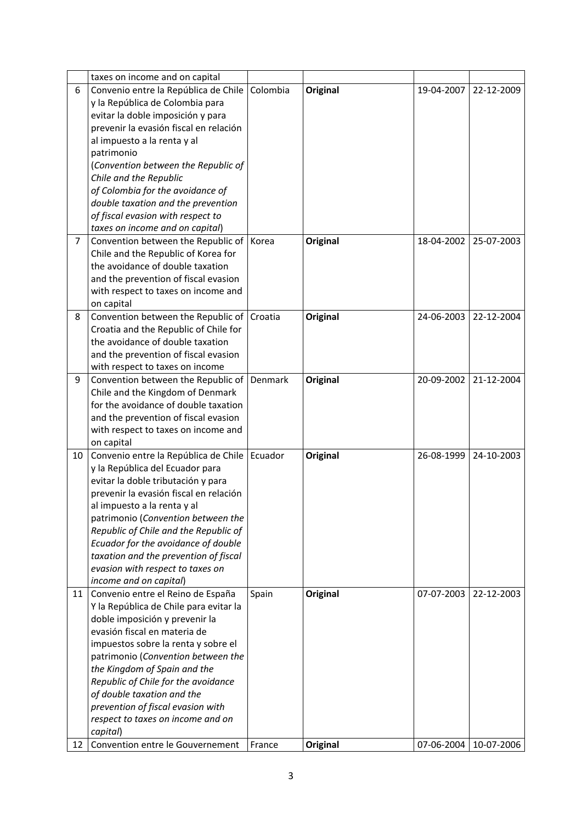|                | taxes on income and on capital                             |          |                 |            |            |
|----------------|------------------------------------------------------------|----------|-----------------|------------|------------|
| 6              | Convenio entre la República de Chile                       | Colombia | <b>Original</b> | 19-04-2007 | 22-12-2009 |
|                | y la República de Colombia para                            |          |                 |            |            |
|                | evitar la doble imposición y para                          |          |                 |            |            |
|                | prevenir la evasión fiscal en relación                     |          |                 |            |            |
|                | al impuesto a la renta y al                                |          |                 |            |            |
|                | patrimonio                                                 |          |                 |            |            |
|                | (Convention between the Republic of                        |          |                 |            |            |
|                | Chile and the Republic                                     |          |                 |            |            |
|                | of Colombia for the avoidance of                           |          |                 |            |            |
|                | double taxation and the prevention                         |          |                 |            |            |
|                | of fiscal evasion with respect to                          |          |                 |            |            |
|                | taxes on income and on capital)                            |          |                 |            |            |
| $\overline{7}$ | Convention between the Republic of   Korea                 |          | <b>Original</b> | 18-04-2002 | 25-07-2003 |
|                | Chile and the Republic of Korea for                        |          |                 |            |            |
|                | the avoidance of double taxation                           |          |                 |            |            |
|                | and the prevention of fiscal evasion                       |          |                 |            |            |
|                | with respect to taxes on income and                        |          |                 |            |            |
|                | on capital                                                 |          |                 |            |            |
| 8              | Convention between the Republic of                         | Croatia  | <b>Original</b> | 24-06-2003 | 22-12-2004 |
|                | Croatia and the Republic of Chile for                      |          |                 |            |            |
|                | the avoidance of double taxation                           |          |                 |            |            |
|                | and the prevention of fiscal evasion                       |          |                 |            |            |
|                | with respect to taxes on income                            |          |                 |            |            |
| 9              | Convention between the Republic of                         | Denmark  | <b>Original</b> | 20-09-2002 | 21-12-2004 |
|                | Chile and the Kingdom of Denmark                           |          |                 |            |            |
|                | for the avoidance of double taxation                       |          |                 |            |            |
|                | and the prevention of fiscal evasion                       |          |                 |            |            |
|                | with respect to taxes on income and                        |          |                 |            |            |
|                | on capital                                                 |          |                 |            |            |
| 10             | Convenio entre la República de Chile                       | Ecuador  | <b>Original</b> | 26-08-1999 | 24-10-2003 |
|                | y la República del Ecuador para                            |          |                 |            |            |
|                | evitar la doble tributación y para                         |          |                 |            |            |
|                | prevenir la evasión fiscal en relación                     |          |                 |            |            |
|                | al impuesto a la renta y al                                |          |                 |            |            |
|                | patrimonio (Convention between the                         |          |                 |            |            |
|                | Republic of Chile and the Republic of                      |          |                 |            |            |
|                | Ecuador for the avoidance of double                        |          |                 |            |            |
|                | taxation and the prevention of fiscal                      |          |                 |            |            |
|                |                                                            |          |                 |            |            |
|                | evasion with respect to taxes on<br>income and on capital) |          |                 |            |            |
| 11             | Convenio entre el Reino de España                          | Spain    | <b>Original</b> | 07-07-2003 | 22-12-2003 |
|                | Y la República de Chile para evitar la                     |          |                 |            |            |
|                | doble imposición y prevenir la                             |          |                 |            |            |
|                | evasión fiscal en materia de                               |          |                 |            |            |
|                |                                                            |          |                 |            |            |
|                | impuestos sobre la renta y sobre el                        |          |                 |            |            |
|                | patrimonio (Convention between the                         |          |                 |            |            |
|                | the Kingdom of Spain and the                               |          |                 |            |            |
|                | Republic of Chile for the avoidance                        |          |                 |            |            |
|                | of double taxation and the                                 |          |                 |            |            |
|                | prevention of fiscal evasion with                          |          |                 |            |            |
|                | respect to taxes on income and on                          |          |                 |            |            |
|                | capital)                                                   |          |                 |            |            |
| 12             | Convention entre le Gouvernement                           | France   | Original        | 07-06-2004 | 10-07-2006 |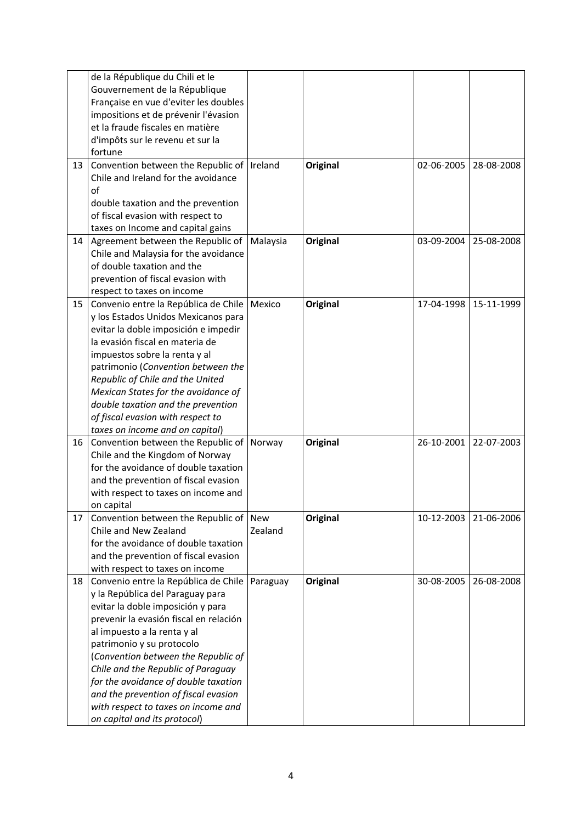|    | de la République du Chili et le              |          |                 |            |            |
|----|----------------------------------------------|----------|-----------------|------------|------------|
|    | Gouvernement de la République                |          |                 |            |            |
|    | Française en vue d'eviter les doubles        |          |                 |            |            |
|    | impositions et de prévenir l'évasion         |          |                 |            |            |
|    | et la fraude fiscales en matière             |          |                 |            |            |
|    | d'impôts sur le revenu et sur la             |          |                 |            |            |
|    | fortune                                      |          |                 |            |            |
| 13 | Convention between the Republic of   Ireland |          | <b>Original</b> | 02-06-2005 | 28-08-2008 |
|    | Chile and Ireland for the avoidance          |          |                 |            |            |
|    | of                                           |          |                 |            |            |
|    | double taxation and the prevention           |          |                 |            |            |
|    | of fiscal evasion with respect to            |          |                 |            |            |
|    | taxes on Income and capital gains            |          |                 |            |            |
| 14 | Agreement between the Republic of            | Malaysia | <b>Original</b> | 03-09-2004 | 25-08-2008 |
|    | Chile and Malaysia for the avoidance         |          |                 |            |            |
|    | of double taxation and the                   |          |                 |            |            |
|    | prevention of fiscal evasion with            |          |                 |            |            |
|    | respect to taxes on income                   |          |                 |            |            |
| 15 | Convenio entre la República de Chile         | Mexico   | <b>Original</b> | 17-04-1998 | 15-11-1999 |
|    | y los Estados Unidos Mexicanos para          |          |                 |            |            |
|    | evitar la doble imposición e impedir         |          |                 |            |            |
|    | la evasión fiscal en materia de              |          |                 |            |            |
|    | impuestos sobre la renta y al                |          |                 |            |            |
|    | patrimonio (Convention between the           |          |                 |            |            |
|    | Republic of Chile and the United             |          |                 |            |            |
|    | Mexican States for the avoidance of          |          |                 |            |            |
|    | double taxation and the prevention           |          |                 |            |            |
|    | of fiscal evasion with respect to            |          |                 |            |            |
|    | taxes on income and on capital)              |          |                 |            |            |
| 16 | Convention between the Republic of           | Norway   | <b>Original</b> | 26-10-2001 | 22-07-2003 |
|    | Chile and the Kingdom of Norway              |          |                 |            |            |
|    | for the avoidance of double taxation         |          |                 |            |            |
|    | and the prevention of fiscal evasion         |          |                 |            |            |
|    | with respect to taxes on income and          |          |                 |            |            |
|    | on capital                                   |          |                 |            |            |
| 17 | Convention between the Republic of New       |          | <b>Original</b> | 10-12-2003 | 21-06-2006 |
|    | Chile and New Zealand                        | Zealand  |                 |            |            |
|    | for the avoidance of double taxation         |          |                 |            |            |
|    | and the prevention of fiscal evasion         |          |                 |            |            |
|    | with respect to taxes on income              |          |                 |            |            |
| 18 | Convenio entre la República de Chile         | Paraguay | <b>Original</b> | 30-08-2005 | 26-08-2008 |
|    | y la República del Paraguay para             |          |                 |            |            |
|    | evitar la doble imposición y para            |          |                 |            |            |
|    | prevenir la evasión fiscal en relación       |          |                 |            |            |
|    | al impuesto a la renta y al                  |          |                 |            |            |
|    | patrimonio y su protocolo                    |          |                 |            |            |
|    | (Convention between the Republic of          |          |                 |            |            |
|    | Chile and the Republic of Paraguay           |          |                 |            |            |
|    | for the avoidance of double taxation         |          |                 |            |            |
|    | and the prevention of fiscal evasion         |          |                 |            |            |
|    | with respect to taxes on income and          |          |                 |            |            |
|    | on capital and its protocol)                 |          |                 |            |            |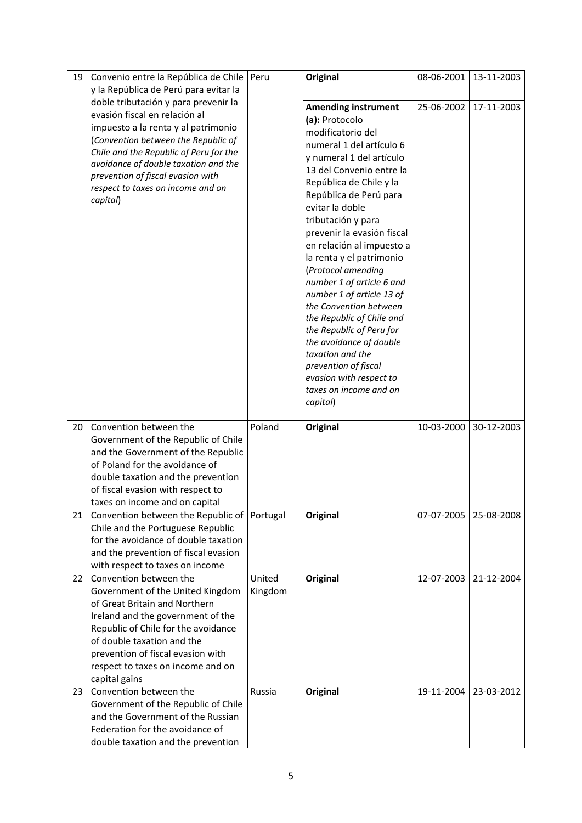| 19 | Convenio entre la República de Chile          | Peru    | Original                   | 08-06-2001 | 13-11-2003 |
|----|-----------------------------------------------|---------|----------------------------|------------|------------|
|    | y la República de Perú para evitar la         |         |                            |            |            |
|    | doble tributación y para prevenir la          |         | <b>Amending instrument</b> | 25-06-2002 | 17-11-2003 |
|    | evasión fiscal en relación al                 |         | (a): Protocolo             |            |            |
|    | impuesto a la renta y al patrimonio           |         | modificatorio del          |            |            |
|    | (Convention between the Republic of           |         | numeral 1 del artículo 6   |            |            |
|    | Chile and the Republic of Peru for the        |         | y numeral 1 del artículo   |            |            |
|    | avoidance of double taxation and the          |         | 13 del Convenio entre la   |            |            |
|    | prevention of fiscal evasion with             |         | República de Chile y la    |            |            |
|    | respect to taxes on income and on             |         | República de Perú para     |            |            |
|    | capital)                                      |         | evitar la doble            |            |            |
|    |                                               |         | tributación y para         |            |            |
|    |                                               |         | prevenir la evasión fiscal |            |            |
|    |                                               |         | en relación al impuesto a  |            |            |
|    |                                               |         | la renta y el patrimonio   |            |            |
|    |                                               |         | (Protocol amending         |            |            |
|    |                                               |         | number 1 of article 6 and  |            |            |
|    |                                               |         | number 1 of article 13 of  |            |            |
|    |                                               |         | the Convention between     |            |            |
|    |                                               |         | the Republic of Chile and  |            |            |
|    |                                               |         | the Republic of Peru for   |            |            |
|    |                                               |         | the avoidance of double    |            |            |
|    |                                               |         | taxation and the           |            |            |
|    |                                               |         | prevention of fiscal       |            |            |
|    |                                               |         | evasion with respect to    |            |            |
|    |                                               |         | taxes on income and on     |            |            |
|    |                                               |         | capital)                   |            |            |
| 20 | Convention between the                        | Poland  | <b>Original</b>            | 10-03-2000 | 30-12-2003 |
|    | Government of the Republic of Chile           |         |                            |            |            |
|    | and the Government of the Republic            |         |                            |            |            |
|    | of Poland for the avoidance of                |         |                            |            |            |
|    | double taxation and the prevention            |         |                            |            |            |
|    | of fiscal evasion with respect to             |         |                            |            |            |
|    | taxes on income and on capital                |         |                            |            |            |
| 21 | Convention between the Republic of   Portugal |         | Original                   | 07-07-2005 | 25-08-2008 |
|    | Chile and the Portuguese Republic             |         |                            |            |            |
|    | for the avoidance of double taxation          |         |                            |            |            |
|    | and the prevention of fiscal evasion          |         |                            |            |            |
|    | with respect to taxes on income               |         |                            |            |            |
| 22 | Convention between the                        | United  | Original                   | 12-07-2003 | 21-12-2004 |
|    | Government of the United Kingdom              | Kingdom |                            |            |            |
|    | of Great Britain and Northern                 |         |                            |            |            |
|    | Ireland and the government of the             |         |                            |            |            |
|    | Republic of Chile for the avoidance           |         |                            |            |            |
|    | of double taxation and the                    |         |                            |            |            |
|    | prevention of fiscal evasion with             |         |                            |            |            |
|    | respect to taxes on income and on             |         |                            |            |            |
|    | capital gains                                 |         |                            |            |            |
| 23 | Convention between the                        | Russia  | <b>Original</b>            | 19-11-2004 | 23-03-2012 |
|    | Government of the Republic of Chile           |         |                            |            |            |
|    | and the Government of the Russian             |         |                            |            |            |
|    | Federation for the avoidance of               |         |                            |            |            |
|    | double taxation and the prevention            |         |                            |            |            |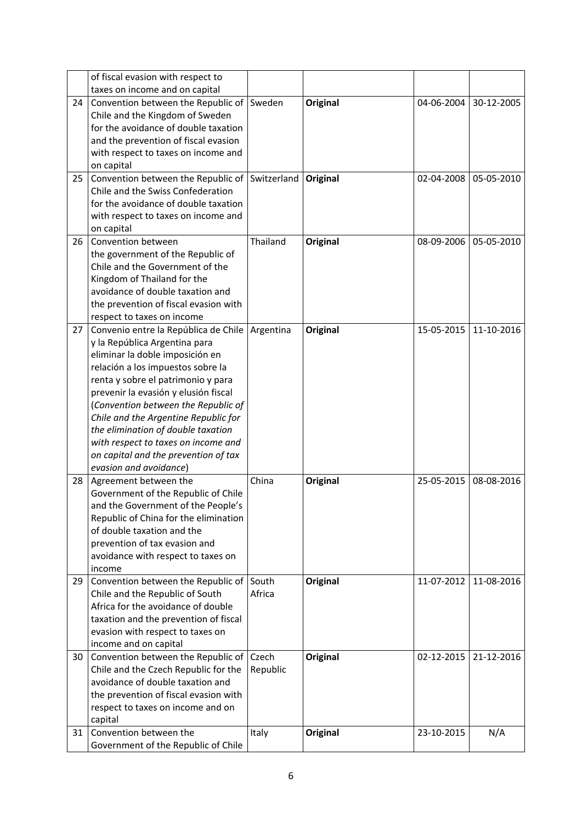|    | of fiscal evasion with respect to                            |           |                 |            |            |
|----|--------------------------------------------------------------|-----------|-----------------|------------|------------|
|    | taxes on income and on capital                               |           |                 |            |            |
| 24 | Convention between the Republic of Sweden                    |           | <b>Original</b> | 04-06-2004 | 30-12-2005 |
|    | Chile and the Kingdom of Sweden                              |           |                 |            |            |
|    | for the avoidance of double taxation                         |           |                 |            |            |
|    | and the prevention of fiscal evasion                         |           |                 |            |            |
|    | with respect to taxes on income and                          |           |                 |            |            |
|    | on capital                                                   |           |                 |            |            |
| 25 | Convention between the Republic of Switzerland               |           | Original        | 02-04-2008 | 05-05-2010 |
|    | Chile and the Swiss Confederation                            |           |                 |            |            |
|    | for the avoidance of double taxation                         |           |                 |            |            |
|    | with respect to taxes on income and                          |           |                 |            |            |
|    | on capital                                                   |           |                 |            |            |
| 26 | Convention between                                           | Thailand  | <b>Original</b> | 08-09-2006 | 05-05-2010 |
|    | the government of the Republic of                            |           |                 |            |            |
|    | Chile and the Government of the                              |           |                 |            |            |
|    | Kingdom of Thailand for the                                  |           |                 |            |            |
|    | avoidance of double taxation and                             |           |                 |            |            |
|    | the prevention of fiscal evasion with                        |           |                 |            |            |
|    | respect to taxes on income                                   |           |                 |            |            |
| 27 | Convenio entre la República de Chile                         | Argentina | <b>Original</b> | 15-05-2015 | 11-10-2016 |
|    | y la República Argentina para                                |           |                 |            |            |
|    | eliminar la doble imposición en                              |           |                 |            |            |
|    | relación a los impuestos sobre la                            |           |                 |            |            |
|    | renta y sobre el patrimonio y para                           |           |                 |            |            |
|    | prevenir la evasión y elusión fiscal                         |           |                 |            |            |
|    | (Convention between the Republic of                          |           |                 |            |            |
|    | Chile and the Argentine Republic for                         |           |                 |            |            |
|    | the elimination of double taxation                           |           |                 |            |            |
|    | with respect to taxes on income and                          |           |                 |            |            |
|    | on capital and the prevention of tax                         |           |                 |            |            |
|    | evasion and avoidance)                                       | China     |                 | 25-05-2015 |            |
| 28 | Agreement between the<br>Government of the Republic of Chile |           | <b>Original</b> |            | 08-08-2016 |
|    | and the Government of the People's                           |           |                 |            |            |
|    | Republic of China for the elimination                        |           |                 |            |            |
|    | of double taxation and the                                   |           |                 |            |            |
|    | prevention of tax evasion and                                |           |                 |            |            |
|    | avoidance with respect to taxes on                           |           |                 |            |            |
|    | income                                                       |           |                 |            |            |
| 29 | Convention between the Republic of                           | South     | <b>Original</b> | 11-07-2012 | 11-08-2016 |
|    | Chile and the Republic of South                              | Africa    |                 |            |            |
|    | Africa for the avoidance of double                           |           |                 |            |            |
|    | taxation and the prevention of fiscal                        |           |                 |            |            |
|    | evasion with respect to taxes on                             |           |                 |            |            |
|    | income and on capital                                        |           |                 |            |            |
| 30 | Convention between the Republic of                           | Czech     | <b>Original</b> | 02-12-2015 | 21-12-2016 |
|    | Chile and the Czech Republic for the                         | Republic  |                 |            |            |
|    | avoidance of double taxation and                             |           |                 |            |            |
|    | the prevention of fiscal evasion with                        |           |                 |            |            |
|    | respect to taxes on income and on                            |           |                 |            |            |
|    | capital                                                      |           |                 |            |            |
| 31 | Convention between the                                       | Italy     | <b>Original</b> | 23-10-2015 | N/A        |
|    | Government of the Republic of Chile                          |           |                 |            |            |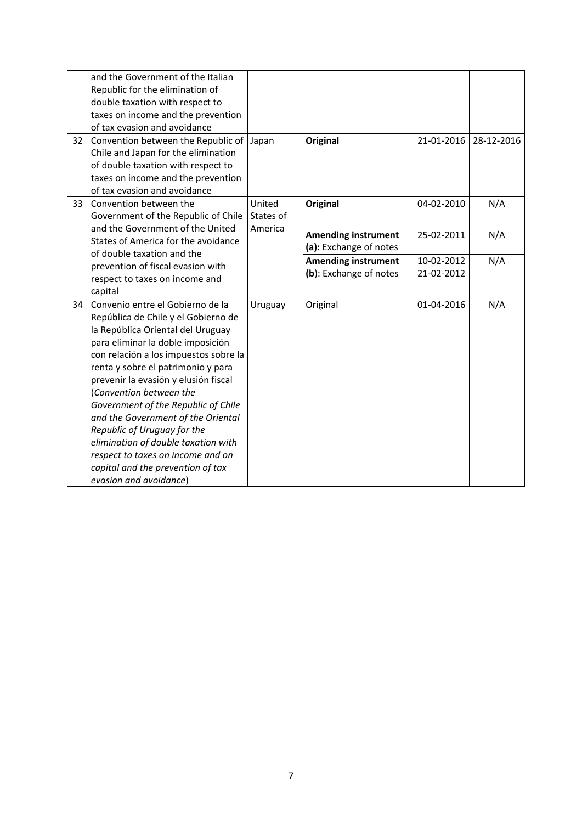| 32 | and the Government of the Italian<br>Republic for the elimination of<br>double taxation with respect to<br>taxes on income and the prevention<br>of tax evasion and avoidance<br>Convention between the Republic of                                                                                                                                                                                                                                                                                                                                        | Japan                          | <b>Original</b>                                      | 21-01-2016               | 28-12-2016 |
|----|------------------------------------------------------------------------------------------------------------------------------------------------------------------------------------------------------------------------------------------------------------------------------------------------------------------------------------------------------------------------------------------------------------------------------------------------------------------------------------------------------------------------------------------------------------|--------------------------------|------------------------------------------------------|--------------------------|------------|
|    | Chile and Japan for the elimination<br>of double taxation with respect to<br>taxes on income and the prevention<br>of tax evasion and avoidance                                                                                                                                                                                                                                                                                                                                                                                                            |                                |                                                      |                          |            |
| 33 | Convention between the<br>Government of the Republic of Chile<br>and the Government of the United                                                                                                                                                                                                                                                                                                                                                                                                                                                          | United<br>States of<br>America | <b>Original</b>                                      | 04-02-2010               | N/A        |
|    | States of America for the avoidance<br>of double taxation and the                                                                                                                                                                                                                                                                                                                                                                                                                                                                                          |                                | <b>Amending instrument</b><br>(a): Exchange of notes | 25-02-2011               | N/A        |
|    | prevention of fiscal evasion with<br>respect to taxes on income and<br>capital                                                                                                                                                                                                                                                                                                                                                                                                                                                                             |                                | <b>Amending instrument</b><br>(b): Exchange of notes | 10-02-2012<br>21-02-2012 | N/A        |
| 34 | Convenio entre el Gobierno de la<br>República de Chile y el Gobierno de<br>la República Oriental del Uruguay<br>para eliminar la doble imposición<br>con relación a los impuestos sobre la<br>renta y sobre el patrimonio y para<br>prevenir la evasión y elusión fiscal<br>(Convention between the<br>Government of the Republic of Chile<br>and the Government of the Oriental<br>Republic of Uruguay for the<br>elimination of double taxation with<br>respect to taxes on income and on<br>capital and the prevention of tax<br>evasion and avoidance) | Uruguay                        | Original                                             | 01-04-2016               | N/A        |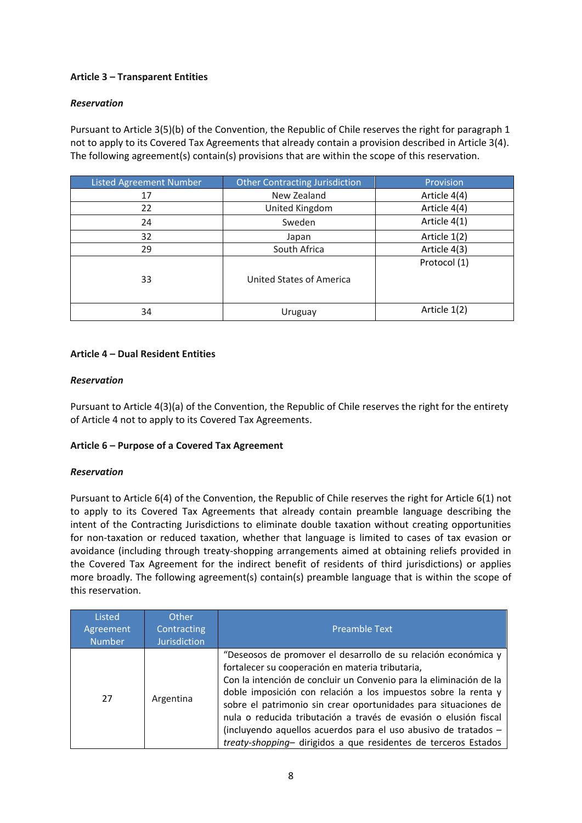# **Article 3 – Transparent Entities**

### *Reservation*

Pursuant to Article 3(5)(b) of the Convention, the Republic of Chile reserves the right for paragraph 1 not to apply to its Covered Tax Agreements that already contain a provision described in Article 3(4). The following agreement(s) contain(s) provisions that are within the scope of this reservation.

| <b>Listed Agreement Number</b> | <b>Other Contracting Jurisdiction</b> | Provision    |
|--------------------------------|---------------------------------------|--------------|
| 17                             | New Zealand                           | Article 4(4) |
| 22                             | United Kingdom                        | Article 4(4) |
| 24                             | Sweden                                | Article 4(1) |
| 32                             | Japan                                 | Article 1(2) |
| 29                             | South Africa                          | Article 4(3) |
| 33                             | United States of America              | Protocol (1) |
| 34                             | Uruguay                               | Article 1(2) |

## **Article 4 – Dual Resident Entities**

#### *Reservation*

Pursuant to Article 4(3)(a) of the Convention, the Republic of Chile reserves the right for the entirety of Article 4 not to apply to its Covered Tax Agreements.

#### **Article 6 – Purpose of a Covered Tax Agreement**

#### *Reservation*

Pursuant to Article 6(4) of the Convention, the Republic of Chile reserves the right for Article 6(1) not to apply to its Covered Tax Agreements that already contain preamble language describing the intent of the Contracting Jurisdictions to eliminate double taxation without creating opportunities for non-taxation or reduced taxation, whether that language is limited to cases of tax evasion or avoidance (including through treaty-shopping arrangements aimed at obtaining reliefs provided in the Covered Tax Agreement for the indirect benefit of residents of third jurisdictions) or applies more broadly. The following agreement(s) contain(s) preamble language that is within the scope of this reservation.

| Listed<br>Agreement<br><b>Number</b> | Other<br>Contracting<br><b>Jurisdiction</b> | <b>Preamble Text</b>                                                                                                                                                                                                                                                                                                                                                                                                                                                                                                                    |
|--------------------------------------|---------------------------------------------|-----------------------------------------------------------------------------------------------------------------------------------------------------------------------------------------------------------------------------------------------------------------------------------------------------------------------------------------------------------------------------------------------------------------------------------------------------------------------------------------------------------------------------------------|
| 27                                   | Argentina                                   | "Deseosos de promover el desarrollo de su relación económica y<br>fortalecer su cooperación en materia tributaria,<br>Con la intención de concluir un Convenio para la eliminación de la<br>doble imposición con relación a los impuestos sobre la renta y<br>sobre el patrimonio sin crear oportunidades para situaciones de<br>nula o reducida tributación a través de evasión o elusión fiscal<br>(incluyendo aquellos acuerdos para el uso abusivo de tratados -<br>treaty-shopping- dirigidos a que residentes de terceros Estados |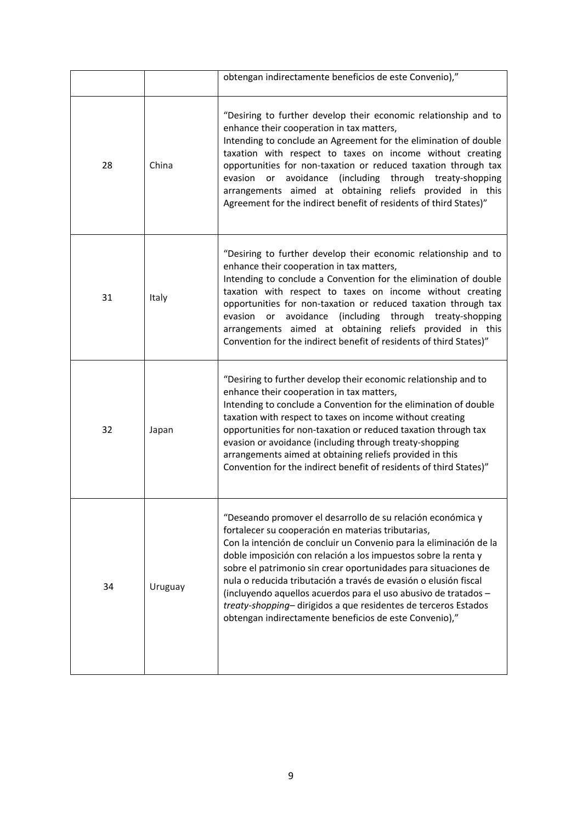|    |         | obtengan indirectamente beneficios de este Convenio),"                                                                                                                                                                                                                                                                                                                                                                                                                                                                                                                                          |
|----|---------|-------------------------------------------------------------------------------------------------------------------------------------------------------------------------------------------------------------------------------------------------------------------------------------------------------------------------------------------------------------------------------------------------------------------------------------------------------------------------------------------------------------------------------------------------------------------------------------------------|
| 28 | China   | "Desiring to further develop their economic relationship and to<br>enhance their cooperation in tax matters,<br>Intending to conclude an Agreement for the elimination of double<br>taxation with respect to taxes on income without creating<br>opportunities for non-taxation or reduced taxation through tax<br>avoidance (including through treaty-shopping<br>evasion<br>or<br>arrangements aimed at obtaining reliefs provided in this<br>Agreement for the indirect benefit of residents of third States)"                                                                               |
| 31 | Italy   | "Desiring to further develop their economic relationship and to<br>enhance their cooperation in tax matters,<br>Intending to conclude a Convention for the elimination of double<br>taxation with respect to taxes on income without creating<br>opportunities for non-taxation or reduced taxation through tax<br>avoidance<br>(including<br>through treaty-shopping<br>evasion<br>or<br>arrangements aimed at obtaining reliefs provided in this<br>Convention for the indirect benefit of residents of third States)"                                                                        |
| 32 | Japan   | "Desiring to further develop their economic relationship and to<br>enhance their cooperation in tax matters,<br>Intending to conclude a Convention for the elimination of double<br>taxation with respect to taxes on income without creating<br>opportunities for non-taxation or reduced taxation through tax<br>evasion or avoidance (including through treaty-shopping<br>arrangements aimed at obtaining reliefs provided in this<br>Convention for the indirect benefit of residents of third States)"                                                                                    |
| 34 | Uruguay | "Deseando promover el desarrollo de su relación económica y<br>fortalecer su cooperación en materias tributarias,<br>Con la intención de concluir un Convenio para la eliminación de la<br>doble imposición con relación a los impuestos sobre la renta y<br>sobre el patrimonio sin crear oportunidades para situaciones de<br>nula o reducida tributación a través de evasión o elusión fiscal<br>(incluyendo aquellos acuerdos para el uso abusivo de tratados -<br>treaty-shopping-dirigidos a que residentes de terceros Estados<br>obtengan indirectamente beneficios de este Convenio)," |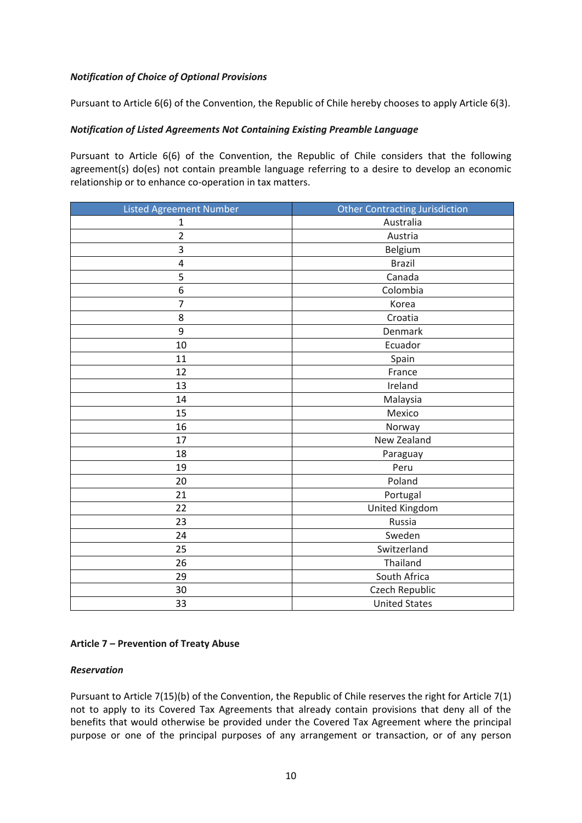## *Notification of Choice of Optional Provisions*

Pursuant to Article 6(6) of the Convention, the Republic of Chile hereby chooses to apply Article 6(3).

## *Notification of Listed Agreements Not Containing Existing Preamble Language*

Pursuant to Article 6(6) of the Convention, the Republic of Chile considers that the following agreement(s) do(es) not contain preamble language referring to a desire to develop an economic relationship or to enhance co-operation in tax matters.

| <b>Listed Agreement Number</b> | <b>Other Contracting Jurisdiction</b> |
|--------------------------------|---------------------------------------|
| $\mathbf 1$                    | Australia                             |
| $\overline{2}$                 | Austria                               |
| 3                              | Belgium                               |
| 4                              | <b>Brazil</b>                         |
| 5                              | Canada                                |
| $\boldsymbol{6}$               | Colombia                              |
| $\overline{7}$                 | Korea                                 |
| 8                              | Croatia                               |
| 9                              | Denmark                               |
| 10                             | Ecuador                               |
| 11                             | Spain                                 |
| 12                             | France                                |
| 13                             | Ireland                               |
| 14                             | Malaysia                              |
| 15                             | Mexico                                |
| 16                             | Norway                                |
| 17                             | New Zealand                           |
| 18                             | Paraguay                              |
| 19                             | Peru                                  |
| 20                             | Poland                                |
| 21                             | Portugal                              |
| 22                             | United Kingdom                        |
| 23                             | Russia                                |
| 24                             | Sweden                                |
| 25                             | Switzerland                           |
| 26                             | Thailand                              |
| 29                             | South Africa                          |
| 30                             | Czech Republic                        |
| 33                             | <b>United States</b>                  |

#### **Article 7 – Prevention of Treaty Abuse**

#### *Reservation*

Pursuant to Article 7(15)(b) of the Convention, the Republic of Chile reserves the right for Article 7(1) not to apply to its Covered Tax Agreements that already contain provisions that deny all of the benefits that would otherwise be provided under the Covered Tax Agreement where the principal purpose or one of the principal purposes of any arrangement or transaction, or of any person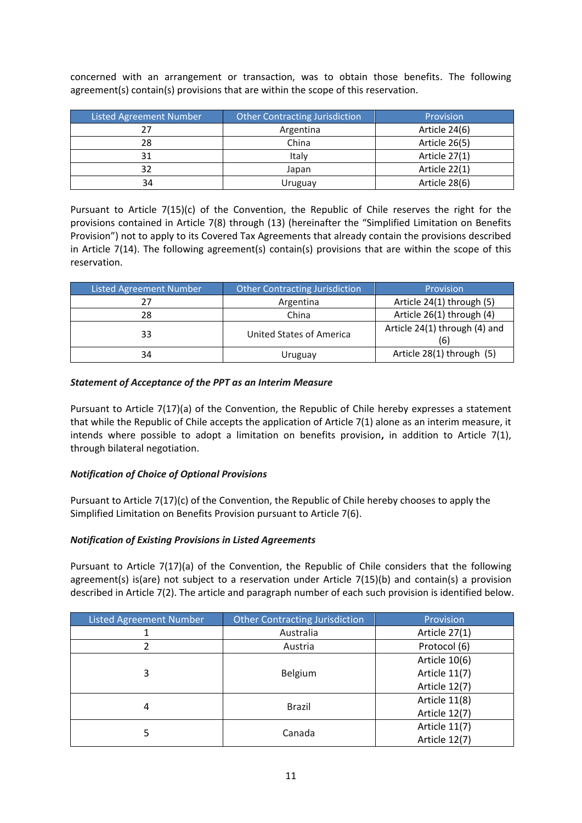| <b>Listed Agreement Number</b> | <b>Other Contracting Jurisdiction</b> | Provision     |
|--------------------------------|---------------------------------------|---------------|
|                                | Argentina                             | Article 24(6) |
| 28                             | China                                 | Article 26(5) |
| 31                             | Italy                                 | Article 27(1) |
| 32                             | Japan                                 | Article 22(1) |
| 34                             | Uruguay                               | Article 28(6) |

concerned with an arrangement or transaction, was to obtain those benefits. The following agreement(s) contain(s) provisions that are within the scope of this reservation.

Pursuant to Article 7(15)(c) of the Convention, the Republic of Chile reserves the right for the provisions contained in Article 7(8) through (13) (hereinafter the "Simplified Limitation on Benefits Provision") not to apply to its Covered Tax Agreements that already contain the provisions described in Article 7(14). The following agreement(s) contain(s) provisions that are within the scope of this reservation.

| <b>Listed Agreement Number</b> | <b>Other Contracting Jurisdiction</b> | Provision                            |
|--------------------------------|---------------------------------------|--------------------------------------|
| 27                             | Argentina                             | Article 24(1) through (5)            |
| 28                             | China                                 | Article 26(1) through (4)            |
| 33                             | United States of America              | Article 24(1) through (4) and<br>(6) |
| 34                             | Uruguay                               | Article 28(1) through (5)            |

## *Statement of Acceptance of the PPT as an Interim Measure*

Pursuant to Article 7(17)(a) of the Convention, the Republic of Chile hereby expresses a statement that while the Republic of Chile accepts the application of Article 7(1) alone as an interim measure, it intends where possible to adopt a limitation on benefits provision**,** in addition to Article 7(1), through bilateral negotiation.

#### *Notification of Choice of Optional Provisions*

Pursuant to Article 7(17)(c) of the Convention, the Republic of Chile hereby chooses to apply the Simplified Limitation on Benefits Provision pursuant to Article 7(6).

#### *Notification of Existing Provisions in Listed Agreements*

Pursuant to Article 7(17)(a) of the Convention, the Republic of Chile considers that the following agreement(s) is(are) not subject to a reservation under Article 7(15)(b) and contain(s) a provision described in Article 7(2). The article and paragraph number of each such provision is identified below.

| <b>Listed Agreement Number</b> | <b>Other Contracting Jurisdiction</b> | Provision     |
|--------------------------------|---------------------------------------|---------------|
|                                | Australia                             | Article 27(1) |
|                                | Austria                               | Protocol (6)  |
|                                |                                       | Article 10(6) |
| 3                              | Belgium                               | Article 11(7) |
|                                |                                       | Article 12(7) |
| 4                              | <b>Brazil</b>                         | Article 11(8) |
|                                |                                       | Article 12(7) |
| 5                              |                                       | Article 11(7) |
|                                | Canada                                | Article 12(7) |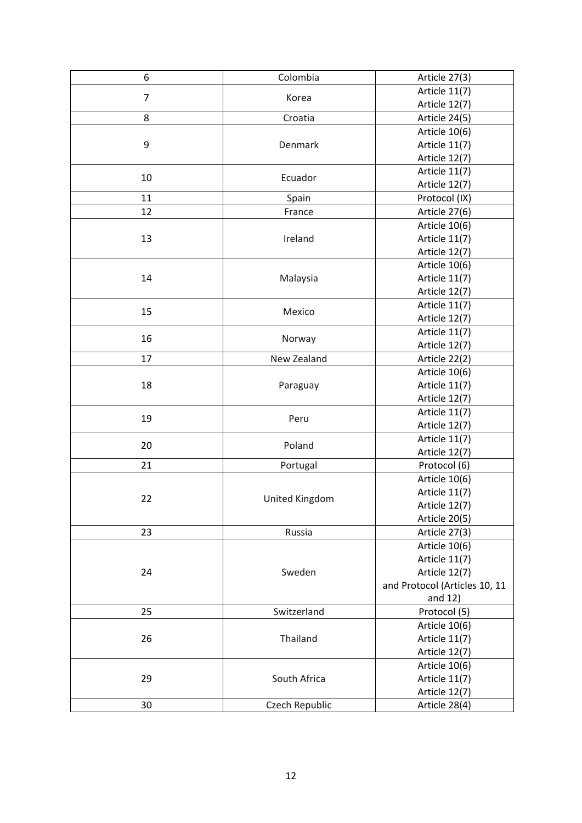| 6                | Colombia       | Article 27(3)                 |
|------------------|----------------|-------------------------------|
| $\overline{7}$   | Article 11(7)  |                               |
|                  | Korea          | Article 12(7)                 |
| 8                | Croatia        | Article 24(5)                 |
|                  |                | Article 10(6)                 |
| $\boldsymbol{9}$ | Denmark        | Article 11(7)                 |
|                  |                | Article 12(7)                 |
|                  |                | Article 11(7)                 |
| 10               | Ecuador        | Article 12(7)                 |
| 11               | Spain          | Protocol (IX)                 |
| 12               | France         | Article 27(6)                 |
|                  |                | Article 10(6)                 |
| 13               | Ireland        | Article 11(7)                 |
|                  |                | Article 12(7)                 |
|                  |                | Article 10(6)                 |
| 14               | Malaysia       | Article 11(7)                 |
|                  |                | Article 12(7)                 |
|                  |                | Article 11(7)                 |
| 15               | Mexico         | Article 12(7)                 |
|                  |                | Article 11(7)                 |
| 16               | Norway         | Article 12(7)                 |
| 17               | New Zealand    | Article 22(2)                 |
|                  |                | Article 10(6)                 |
| 18               | Paraguay       | Article 11(7)                 |
|                  |                | Article 12(7)                 |
|                  |                | Article 11(7)                 |
| 19               | Peru           | Article 12(7)                 |
|                  |                | Article 11(7)                 |
| 20               | Poland         | Article 12(7)                 |
| 21               | Portugal       | Protocol (6)                  |
|                  |                | Article 10(6)                 |
| 22               |                | Article 11(7)                 |
|                  | United Kingdom | Article 12(7)                 |
|                  |                | Article 20(5)                 |
| 23               | Russia         | Article 27(3)                 |
|                  |                | Article 10(6)                 |
|                  |                | Article 11(7)                 |
| 24               | Sweden         | Article 12(7)                 |
|                  |                | and Protocol (Articles 10, 11 |
|                  |                | and 12)                       |
| 25               | Switzerland    | Protocol (5)                  |
|                  |                | Article 10(6)                 |
| 26               | Thailand       | Article 11(7)                 |
|                  |                | Article 12(7)                 |
|                  |                | Article 10(6)                 |
| 29               | South Africa   | Article 11(7)                 |
|                  |                | Article 12(7)                 |
| 30               | Czech Republic | Article 28(4)                 |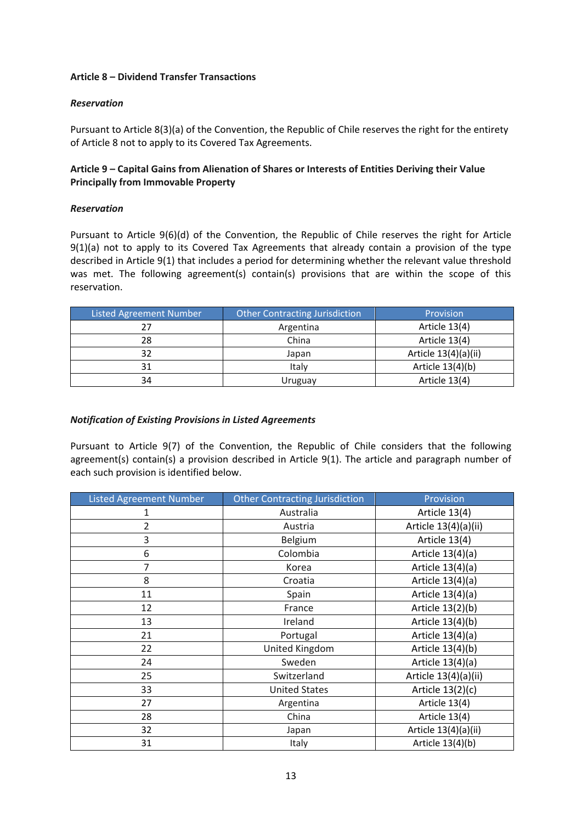#### **Article 8 – Dividend Transfer Transactions**

#### *Reservation*

Pursuant to Article 8(3)(a) of the Convention, the Republic of Chile reserves the right for the entirety of Article 8 not to apply to its Covered Tax Agreements.

## **Article 9 – Capital Gains from Alienation of Shares or Interests of Entities Deriving their Value Principally from Immovable Property**

#### *Reservation*

Pursuant to Article 9(6)(d) of the Convention, the Republic of Chile reserves the right for Article 9(1)(a) not to apply to its Covered Tax Agreements that already contain a provision of the type described in Article 9(1) that includes a period for determining whether the relevant value threshold was met. The following agreement(s) contain(s) provisions that are within the scope of this reservation.

| <b>Listed Agreement Number</b> | <b>Other Contracting Jurisdiction</b> | Provision            |
|--------------------------------|---------------------------------------|----------------------|
| 27                             | Argentina                             | Article 13(4)        |
| 28                             | China                                 | Article 13(4)        |
| 32                             | Japan                                 | Article 13(4)(a)(ii) |
| 31                             | Italy                                 | Article 13(4)(b)     |
| 34                             | Uruguay                               | Article 13(4)        |

#### *Notification of Existing Provisions in Listed Agreements*

Pursuant to Article 9(7) of the Convention, the Republic of Chile considers that the following agreement(s) contain(s) a provision described in Article 9(1). The article and paragraph number of each such provision is identified below.

| <b>Listed Agreement Number</b> | <b>Other Contracting Jurisdiction</b> | Provision            |
|--------------------------------|---------------------------------------|----------------------|
|                                | Australia                             | Article 13(4)        |
| 2                              | Austria                               | Article 13(4)(a)(ii) |
| 3                              | Belgium                               | Article 13(4)        |
| 6                              | Colombia                              | Article 13(4)(a)     |
| 7                              | Korea                                 | Article 13(4)(a)     |
| 8                              | Croatia                               | Article 13(4)(a)     |
| 11                             | Spain                                 | Article 13(4)(a)     |
| 12                             | France                                | Article 13(2)(b)     |
| 13                             | Ireland                               | Article 13(4)(b)     |
| 21                             | Portugal                              | Article 13(4)(a)     |
| 22                             | United Kingdom                        | Article 13(4)(b)     |
| 24                             | Sweden                                | Article 13(4)(a)     |
| 25                             | Switzerland                           | Article 13(4)(a)(ii) |
| 33                             | <b>United States</b>                  | Article 13(2)(c)     |
| 27                             | Argentina                             | Article 13(4)        |
| 28                             | China                                 | Article 13(4)        |
| 32                             | Japan                                 | Article 13(4)(a)(ii) |
| 31                             | Italy                                 | Article 13(4)(b)     |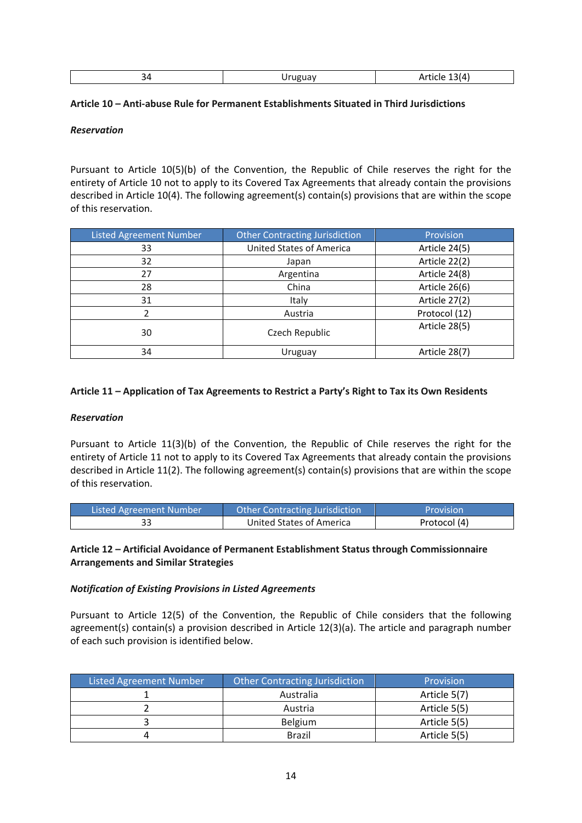|--|

### **Article 10 – Anti-abuse Rule for Permanent Establishments Situated in Third Jurisdictions**

### *Reservation*

Pursuant to Article 10(5)(b) of the Convention, the Republic of Chile reserves the right for the entirety of Article 10 not to apply to its Covered Tax Agreements that already contain the provisions described in Article 10(4). The following agreement(s) contain(s) provisions that are within the scope of this reservation.

| <b>Listed Agreement Number</b> | Other Contracting Jurisdiction | Provision     |
|--------------------------------|--------------------------------|---------------|
| 33                             | United States of America       | Article 24(5) |
| 32                             | Japan                          | Article 22(2) |
| 27                             | Argentina                      | Article 24(8) |
| 28                             | China                          | Article 26(6) |
| 31                             | Italy                          | Article 27(2) |
|                                | Austria                        | Protocol (12) |
| 30                             | Czech Republic                 | Article 28(5) |
| 34                             | Uruguay                        | Article 28(7) |

## **Article 11 – Application of Tax Agreements to Restrict a Party's Right to Tax its Own Residents**

#### *Reservation*

Pursuant to Article 11(3)(b) of the Convention, the Republic of Chile reserves the right for the entirety of Article 11 not to apply to its Covered Tax Agreements that already contain the provisions described in Article 11(2). The following agreement(s) contain(s) provisions that are within the scope of this reservation.

| Listed Agreement Number | <b>Other Contracting Jurisdiction</b> | Provision    |
|-------------------------|---------------------------------------|--------------|
| า า                     | United States of America              | Protocol (4) |

## **Article 12 – Artificial Avoidance of Permanent Establishment Status through Commissionnaire Arrangements and Similar Strategies**

#### *Notification of Existing Provisions in Listed Agreements*

Pursuant to Article 12(5) of the Convention, the Republic of Chile considers that the following agreement(s) contain(s) a provision described in Article 12(3)(a). The article and paragraph number of each such provision is identified below.

| <b>Listed Agreement Number</b> | <b>Other Contracting Jurisdiction</b> | Provision    |
|--------------------------------|---------------------------------------|--------------|
|                                | Australia                             | Article 5(7) |
|                                | Austria                               | Article 5(5) |
|                                | <b>Belgium</b>                        | Article 5(5) |
|                                | <b>Brazil</b>                         | Article 5(5) |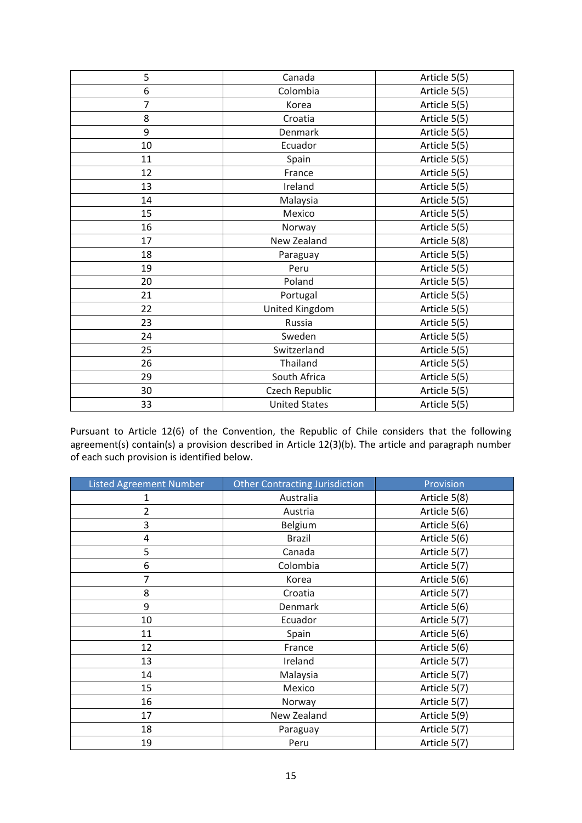| 5  | Canada               | Article 5(5) |
|----|----------------------|--------------|
| 6  | Colombia             | Article 5(5) |
| 7  | Korea                | Article 5(5) |
| 8  | Croatia              | Article 5(5) |
| 9  | Denmark              | Article 5(5) |
| 10 | Ecuador              | Article 5(5) |
| 11 | Spain                | Article 5(5) |
| 12 | France               | Article 5(5) |
| 13 | Ireland              | Article 5(5) |
| 14 | Malaysia             | Article 5(5) |
| 15 | Mexico               | Article 5(5) |
| 16 | Norway               | Article 5(5) |
| 17 | New Zealand          | Article 5(8) |
| 18 | Paraguay             | Article 5(5) |
| 19 | Peru                 | Article 5(5) |
| 20 | Poland               | Article 5(5) |
| 21 | Portugal             | Article 5(5) |
| 22 | United Kingdom       | Article 5(5) |
| 23 | Russia               | Article 5(5) |
| 24 | Sweden               | Article 5(5) |
| 25 | Switzerland          | Article 5(5) |
| 26 | Thailand             | Article 5(5) |
| 29 | South Africa         | Article 5(5) |
| 30 | Czech Republic       | Article 5(5) |
| 33 | <b>United States</b> | Article 5(5) |

Pursuant to Article 12(6) of the Convention, the Republic of Chile considers that the following agreement(s) contain(s) a provision described in Article 12(3)(b). The article and paragraph number of each such provision is identified below.

| <b>Listed Agreement Number</b> | <b>Other Contracting Jurisdiction</b> | Provision    |
|--------------------------------|---------------------------------------|--------------|
| 1                              | Australia                             | Article 5(8) |
| $\overline{2}$                 | Austria                               | Article 5(6) |
| 3                              | Belgium                               | Article 5(6) |
| 4                              | <b>Brazil</b>                         | Article 5(6) |
| 5                              | Canada                                | Article 5(7) |
| 6                              | Colombia                              | Article 5(7) |
| 7                              | Korea                                 | Article 5(6) |
| 8                              | Croatia                               | Article 5(7) |
| 9                              | Denmark                               | Article 5(6) |
| 10                             | Ecuador                               | Article 5(7) |
| 11                             | Spain                                 | Article 5(6) |
| 12                             | France                                | Article 5(6) |
| 13                             | Ireland                               | Article 5(7) |
| 14                             | Malaysia                              | Article 5(7) |
| 15                             | Mexico                                | Article 5(7) |
| 16                             | Norway                                | Article 5(7) |
| 17                             | New Zealand                           | Article 5(9) |
| 18                             | Paraguay                              | Article 5(7) |
| 19                             | Peru                                  | Article 5(7) |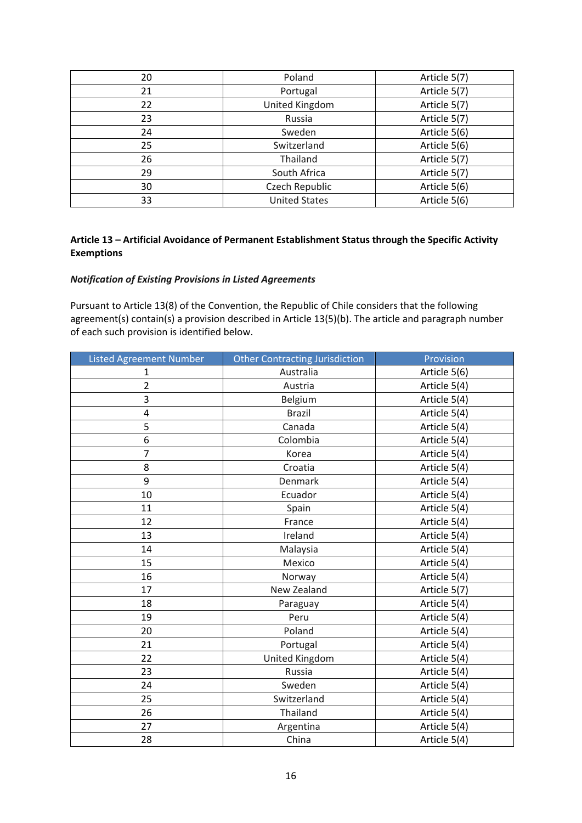| 20 | Poland               | Article 5(7) |
|----|----------------------|--------------|
| 21 | Portugal             | Article 5(7) |
| 22 | United Kingdom       | Article 5(7) |
| 23 | Russia               | Article 5(7) |
| 24 | Sweden               | Article 5(6) |
| 25 | Switzerland          | Article 5(6) |
| 26 | Thailand             | Article 5(7) |
| 29 | South Africa         | Article 5(7) |
| 30 | Czech Republic       | Article 5(6) |
| 33 | <b>United States</b> | Article 5(6) |

### **Article 13 – Artificial Avoidance of Permanent Establishment Status through the Specific Activity Exemptions**

#### *Notification of Existing Provisions in Listed Agreements*

Pursuant to Article 13(8) of the Convention, the Republic of Chile considers that the following agreement(s) contain(s) a provision described in Article 13(5)(b). The article and paragraph number of each such provision is identified below.

| <b>Listed Agreement Number</b> | <b>Other Contracting Jurisdiction</b> | Provision    |
|--------------------------------|---------------------------------------|--------------|
| $\mathbf{1}$                   | Australia                             | Article 5(6) |
| $\overline{2}$                 | Austria                               | Article 5(4) |
| 3                              | Belgium                               | Article 5(4) |
| 4                              | <b>Brazil</b>                         | Article 5(4) |
| 5                              | Canada                                | Article 5(4) |
| 6                              | Colombia                              | Article 5(4) |
| 7                              | Korea                                 | Article 5(4) |
| 8                              | Croatia                               | Article 5(4) |
| 9                              | Denmark                               | Article 5(4) |
| 10                             | Ecuador                               | Article 5(4) |
| 11                             | Spain                                 | Article 5(4) |
| 12                             | France                                | Article 5(4) |
| 13                             | Ireland                               | Article 5(4) |
| 14                             | Malaysia                              | Article 5(4) |
| 15                             | Mexico                                | Article 5(4) |
| 16                             | Norway                                | Article 5(4) |
| 17                             | New Zealand                           | Article 5(7) |
| 18                             | Paraguay                              | Article 5(4) |
| 19                             | Peru                                  | Article 5(4) |
| 20                             | Poland                                | Article 5(4) |
| 21                             | Portugal                              | Article 5(4) |
| 22                             | United Kingdom                        | Article 5(4) |
| 23                             | Russia                                | Article 5(4) |
| 24                             | Sweden                                | Article 5(4) |
| 25                             | Switzerland                           | Article 5(4) |
| 26                             | Thailand                              | Article 5(4) |
| 27                             | Argentina                             | Article 5(4) |
| 28                             | China                                 | Article 5(4) |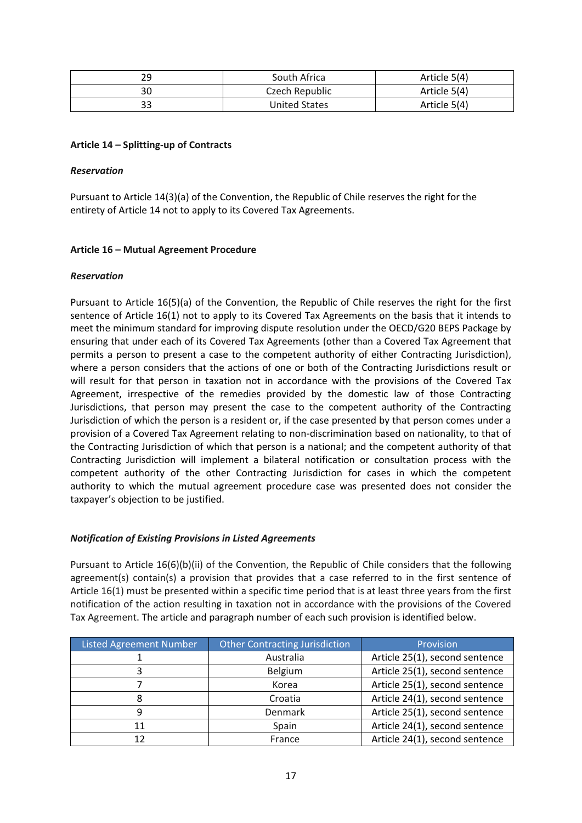| 29 | South Africa   | Article 5(4) |
|----|----------------|--------------|
| 30 | Czech Republic | Article 5(4) |
| 33 | United States  | Article 5(4) |

### **Article 14 – Splitting-up of Contracts**

#### *Reservation*

Pursuant to Article 14(3)(a) of the Convention, the Republic of Chile reserves the right for the entirety of Article 14 not to apply to its Covered Tax Agreements.

#### **Article 16 – Mutual Agreement Procedure**

#### *Reservation*

Pursuant to Article 16(5)(a) of the Convention, the Republic of Chile reserves the right for the first sentence of Article 16(1) not to apply to its Covered Tax Agreements on the basis that it intends to meet the minimum standard for improving dispute resolution under the OECD/G20 BEPS Package by ensuring that under each of its Covered Tax Agreements (other than a Covered Tax Agreement that permits a person to present a case to the competent authority of either Contracting Jurisdiction), where a person considers that the actions of one or both of the Contracting Jurisdictions result or will result for that person in taxation not in accordance with the provisions of the Covered Tax Agreement, irrespective of the remedies provided by the domestic law of those Contracting Jurisdictions, that person may present the case to the competent authority of the Contracting Jurisdiction of which the person is a resident or, if the case presented by that person comes under a provision of a Covered Tax Agreement relating to non-discrimination based on nationality, to that of the Contracting Jurisdiction of which that person is a national; and the competent authority of that Contracting Jurisdiction will implement a bilateral notification or consultation process with the competent authority of the other Contracting Jurisdiction for cases in which the competent authority to which the mutual agreement procedure case was presented does not consider the taxpayer's objection to be justified.

#### *Notification of Existing Provisions in Listed Agreements*

Pursuant to Article 16(6)(b)(ii) of the Convention, the Republic of Chile considers that the following agreement(s) contain(s) a provision that provides that a case referred to in the first sentence of Article 16(1) must be presented within a specific time period that is at least three years from the first notification of the action resulting in taxation not in accordance with the provisions of the Covered Tax Agreement. The article and paragraph number of each such provision is identified below.

| <b>Listed Agreement Number</b> | Other Contracting Jurisdiction | Provision                      |
|--------------------------------|--------------------------------|--------------------------------|
|                                | Australia                      | Article 25(1), second sentence |
|                                | Belgium                        | Article 25(1), second sentence |
|                                | Korea                          | Article 25(1), second sentence |
|                                | Croatia                        | Article 24(1), second sentence |
| 9                              | <b>Denmark</b>                 | Article 25(1), second sentence |
| 11                             | Spain                          | Article 24(1), second sentence |
| 12                             | France                         | Article 24(1), second sentence |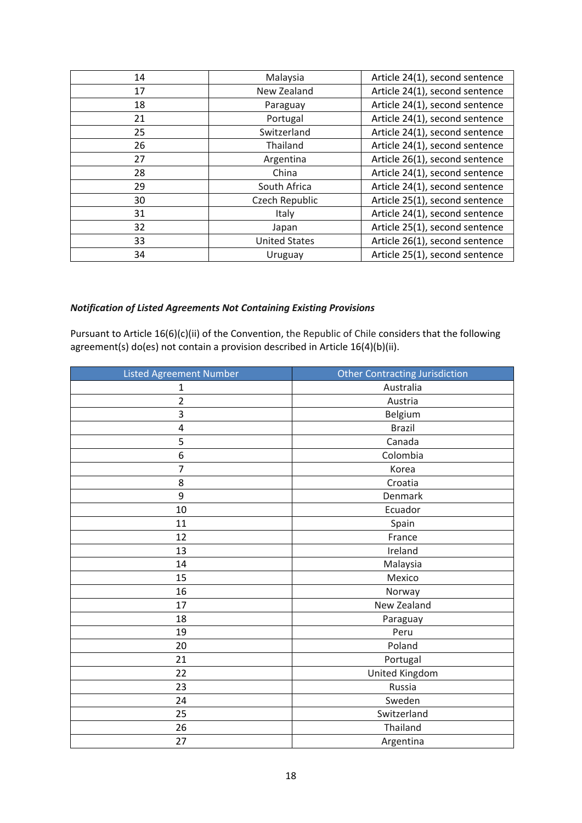| 14 | Malaysia             | Article 24(1), second sentence |
|----|----------------------|--------------------------------|
| 17 | New Zealand          | Article 24(1), second sentence |
| 18 | Paraguay             | Article 24(1), second sentence |
| 21 | Portugal             | Article 24(1), second sentence |
| 25 | Switzerland          | Article 24(1), second sentence |
| 26 | Thailand             | Article 24(1), second sentence |
| 27 | Argentina            | Article 26(1), second sentence |
| 28 | China                | Article 24(1), second sentence |
| 29 | South Africa         | Article 24(1), second sentence |
| 30 | Czech Republic       | Article 25(1), second sentence |
| 31 | Italy                | Article 24(1), second sentence |
| 32 | Japan                | Article 25(1), second sentence |
| 33 | <b>United States</b> | Article 26(1), second sentence |
| 34 | Uruguay              | Article 25(1), second sentence |

## *Notification of Listed Agreements Not Containing Existing Provisions*

Pursuant to Article 16(6)(c)(ii) of the Convention, the Republic of Chile considers that the following agreement(s) do(es) not contain a provision described in Article 16(4)(b)(ii).

| <b>Listed Agreement Number</b> | <b>Other Contracting Jurisdiction</b> |
|--------------------------------|---------------------------------------|
| $\mathbf 1$                    | Australia                             |
| $\overline{2}$                 | Austria                               |
| 3                              | Belgium                               |
| 4                              | <b>Brazil</b>                         |
| 5                              | Canada                                |
| 6                              | Colombia                              |
| $\overline{7}$                 | Korea                                 |
| 8                              | Croatia                               |
| 9                              | Denmark                               |
| 10                             | Ecuador                               |
| 11                             | Spain                                 |
| 12                             | France                                |
| 13                             | Ireland                               |
| 14                             | Malaysia                              |
| 15                             | Mexico                                |
| 16                             | Norway                                |
| 17                             | New Zealand                           |
| 18                             | Paraguay                              |
| 19                             | Peru                                  |
| 20                             | Poland                                |
| 21                             | Portugal                              |
| 22                             | United Kingdom                        |
| 23                             | Russia                                |
| 24                             | Sweden                                |
| 25                             | Switzerland                           |
| 26                             | Thailand                              |
| 27                             | Argentina                             |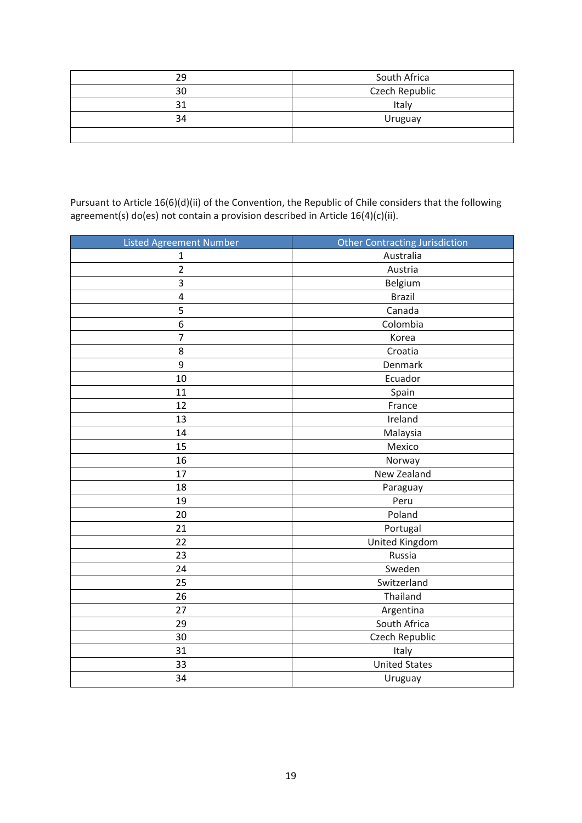| 29 | South Africa   |
|----|----------------|
| 30 | Czech Republic |
| 31 | Italy          |
| 34 | Uruguay        |
|    |                |

Pursuant to Article 16(6)(d)(ii) of the Convention, the Republic of Chile considers that the following agreement(s) do(es) not contain a provision described in Article 16(4)(c)(ii).

| <b>Listed Agreement Number</b> | <b>Other Contracting Jurisdiction</b> |
|--------------------------------|---------------------------------------|
| $\mathbf 1$                    | Australia                             |
| $\overline{2}$                 | Austria                               |
| $\ensuremath{\mathsf{3}}$      | Belgium                               |
| $\pmb{4}$                      | <b>Brazil</b>                         |
| 5                              | Canada                                |
| $\boldsymbol{6}$               | Colombia                              |
| $\overline{7}$                 | Korea                                 |
| 8                              | Croatia                               |
| 9                              | Denmark                               |
| 10                             | Ecuador                               |
| 11                             | Spain                                 |
| 12                             | France                                |
| 13                             | Ireland                               |
| 14                             | Malaysia                              |
| 15                             | Mexico                                |
| 16                             | Norway                                |
| 17                             | New Zealand                           |
| 18                             | Paraguay                              |
| 19                             | Peru                                  |
| 20                             | Poland                                |
| 21                             | Portugal                              |
| 22                             | <b>United Kingdom</b>                 |
| 23                             | Russia                                |
| 24                             | Sweden                                |
| 25                             | Switzerland                           |
| 26                             | Thailand                              |
| 27                             | Argentina                             |
| 29                             | South Africa                          |
| 30                             | Czech Republic                        |
| 31                             | Italy                                 |
| 33                             | <b>United States</b>                  |
| 34                             | Uruguay                               |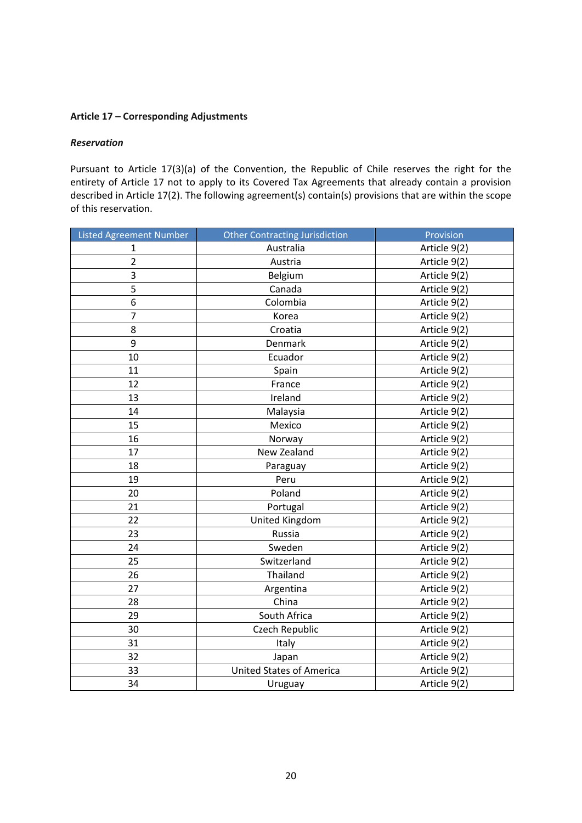### **Article 17 – Corresponding Adjustments**

#### *Reservation*

Pursuant to Article 17(3)(a) of the Convention, the Republic of Chile reserves the right for the entirety of Article 17 not to apply to its Covered Tax Agreements that already contain a provision described in Article 17(2). The following agreement(s) contain(s) provisions that are within the scope of this reservation.

| <b>Listed Agreement Number</b> | <b>Other Contracting Jurisdiction</b> | Provision    |
|--------------------------------|---------------------------------------|--------------|
| 1                              | Australia                             | Article 9(2) |
| $\overline{2}$                 | Austria                               | Article 9(2) |
| 3                              | Belgium                               | Article 9(2) |
| 5                              | Canada                                | Article 9(2) |
| 6                              | Colombia                              | Article 9(2) |
| $\overline{7}$                 | Korea                                 | Article 9(2) |
| 8                              | Croatia                               | Article 9(2) |
| 9                              | Denmark                               | Article 9(2) |
| 10                             | Ecuador                               | Article 9(2) |
| 11                             | Spain                                 | Article 9(2) |
| 12                             | France                                | Article 9(2) |
| 13                             | Ireland                               | Article 9(2) |
| 14                             | Malaysia                              | Article 9(2) |
| 15                             | Mexico                                | Article 9(2) |
| 16                             | Norway                                | Article 9(2) |
| 17                             | New Zealand                           | Article 9(2) |
| 18                             | Paraguay                              | Article 9(2) |
| 19                             | Peru                                  | Article 9(2) |
| 20                             | Poland                                | Article 9(2) |
| 21                             | Portugal                              | Article 9(2) |
| 22                             | United Kingdom                        | Article 9(2) |
| 23                             | Russia                                | Article 9(2) |
| 24                             | Sweden                                | Article 9(2) |
| 25                             | Switzerland                           | Article 9(2) |
| 26                             | Thailand                              | Article 9(2) |
| 27                             | Argentina                             | Article 9(2) |
| 28                             | China                                 | Article 9(2) |
| 29                             | South Africa                          | Article 9(2) |
| 30                             | Czech Republic                        | Article 9(2) |
| 31                             | Italy                                 | Article 9(2) |
| 32                             | Japan                                 | Article 9(2) |
| 33                             | <b>United States of America</b>       | Article 9(2) |
| 34                             | Uruguay                               | Article 9(2) |